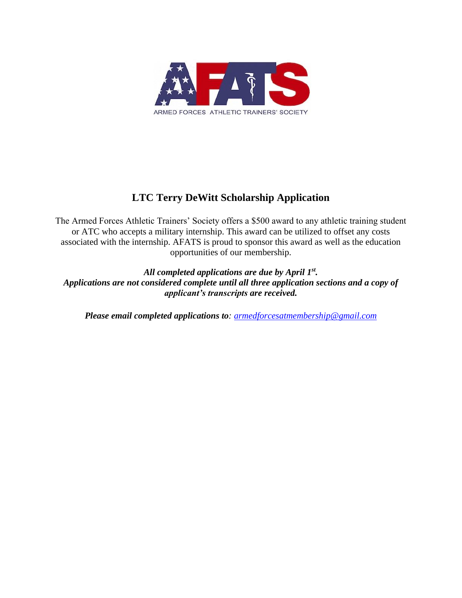

### **LTC Terry DeWitt Scholarship Application**

The Armed Forces Athletic Trainers' Society offers a \$500 award to any athletic training student or ATC who accepts a military internship. This award can be utilized to offset any costs associated with the internship. AFATS is proud to sponsor this award as well as the education opportunities of our membership.

*All completed applications are due by April 1st. Applications are not considered complete until all three application sections and a copy of applicant's transcripts are received.*

*Please email completed applications to: [armedforcesatmembership@gmail.com](http://armedforcesatmembership@gmail.com)*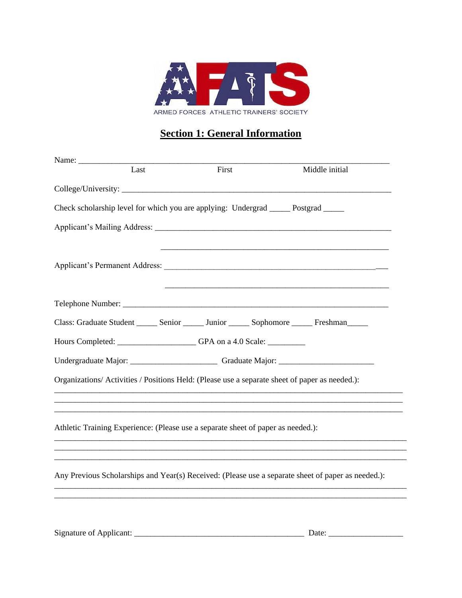

# **Section 1: General Information**

| Name: |      |                                                                                       |                                                                                                    |
|-------|------|---------------------------------------------------------------------------------------|----------------------------------------------------------------------------------------------------|
|       | Last | First                                                                                 | Middle initial                                                                                     |
|       |      |                                                                                       |                                                                                                    |
|       |      | Check scholarship level for which you are applying: Undergrad _______ Postgrad ______ |                                                                                                    |
|       |      |                                                                                       |                                                                                                    |
|       |      |                                                                                       |                                                                                                    |
|       |      |                                                                                       |                                                                                                    |
|       |      |                                                                                       | Class: Graduate Student ______ Senior ______ Junior ______ Sophomore ______ Freshman_____          |
|       |      | Hours Completed: _________________GPA on a 4.0 Scale: _________                       |                                                                                                    |
|       |      |                                                                                       |                                                                                                    |
|       |      |                                                                                       | Organizations/Activities / Positions Held: (Please use a separate sheet of paper as needed.):      |
|       |      |                                                                                       |                                                                                                    |
|       |      | Athletic Training Experience: (Please use a separate sheet of paper as needed.):      |                                                                                                    |
|       |      |                                                                                       |                                                                                                    |
|       |      |                                                                                       | Any Previous Scholarships and Year(s) Received: (Please use a separate sheet of paper as needed.): |
|       |      |                                                                                       |                                                                                                    |
|       |      |                                                                                       |                                                                                                    |
|       |      |                                                                                       |                                                                                                    |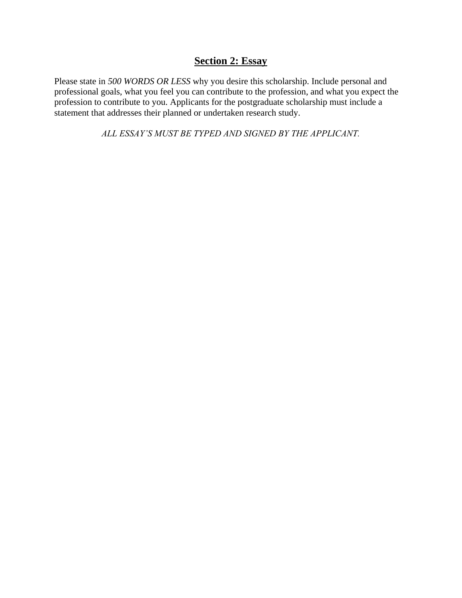#### **Section 2: Essay**

Please state in *500 WORDS OR LESS* why you desire this scholarship. Include personal and professional goals, what you feel you can contribute to the profession, and what you expect the profession to contribute to you. Applicants for the postgraduate scholarship must include a statement that addresses their planned or undertaken research study.

*ALL ESSAY'S MUST BE TYPED AND SIGNED BY THE APPLICANT.*